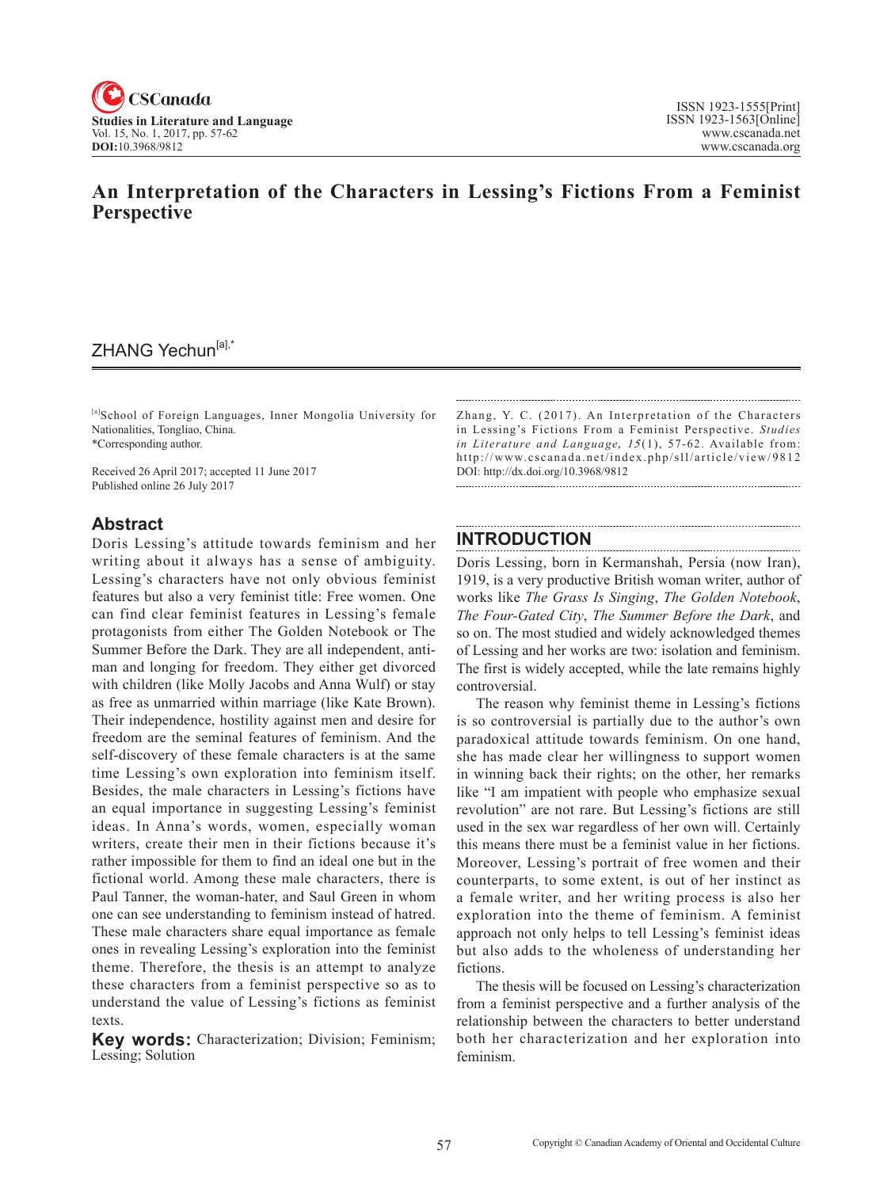

### **An Interpretation of the Characters in Lessing's Fictions From a Feminist Perspective**

## ZHANG Yechun<sup>[a],\*</sup>

[a]School of Foreign Languages, Inner Mongolia University for Nationalities, Tongliao, China. \*Corresponding author.

Received 26 April 2017; accepted 11 June 2017 Published online 26 July 2017

#### **Abstract**

Doris Lessing's attitude towards feminism and her writing about it always has a sense of ambiguity. Lessing's characters have not only obvious feminist features but also a very feminist title: Free women. One can find clear feminist features in Lessing's female protagonists from either The Golden Notebook or The Summer Before the Dark. They are all independent, antiman and longing for freedom. They either get divorced with children (like Molly Jacobs and Anna Wulf) or stay as free as unmarried within marriage (like Kate Brown). Their independence, hostility against men and desire for freedom are the seminal features of feminism. And the self-discovery of these female characters is at the same time Lessing's own exploration into feminism itself. Besides, the male characters in Lessing's fictions have an equal importance in suggesting Lessing's feminist ideas. In Anna's words, women, especially woman writers, create their men in their fictions because it's rather impossible for them to find an ideal one but in the fictional world. Among these male characters, there is Paul Tanner, the woman-hater, and Saul Green in whom one can see understanding to feminism instead of hatred. These male characters share equal importance as female ones in revealing Lessing's exploration into the feminist theme. Therefore, the thesis is an attempt to analyze these characters from a feminist perspective so as to understand the value of Lessing's fictions as feminist texts.

**Key words:** Characterization; Division; Feminism; Lessing; Solution

Zhang, Y. C. (2017). An Interpretation of the Characters in Lessing's Fictions From a Feminist Perspective. *Studies in Literature and Language, 15(1), 57-62.* Available from: http://www.cscanada.net/index.php/sll/article/view/9812 DOI: http://dx.doi.org/10.3968/9812

#### **INTRODUCTION**

Doris Lessing, born in Kermanshah, Persia (now Iran), 1919, is a very productive British woman writer, author of works like *The Grass Is Singing*, *The Golden Notebook*, *The Four-Gated City*, *The Summer Before the Dark*, and so on. The most studied and widely acknowledged themes of Lessing and her works are two: isolation and feminism. The first is widely accepted, while the late remains highly controversial.

The reason why feminist theme in Lessing's fictions is so controversial is partially due to the author's own paradoxical attitude towards feminism. On one hand, she has made clear her willingness to support women in winning back their rights; on the other, her remarks like "I am impatient with people who emphasize sexual revolution" are not rare. But Lessing's fictions are still used in the sex war regardless of her own will. Certainly this means there must be a feminist value in her fictions. Moreover, Lessing's portrait of free women and their counterparts, to some extent, is out of her instinct as a female writer, and her writing process is also her exploration into the theme of feminism. A feminist approach not only helps to tell Lessing's feminist ideas but also adds to the wholeness of understanding her fictions.

The thesis will be focused on Lessing's characterization from a feminist perspective and a further analysis of the relationship between the characters to better understand both her characterization and her exploration into feminism.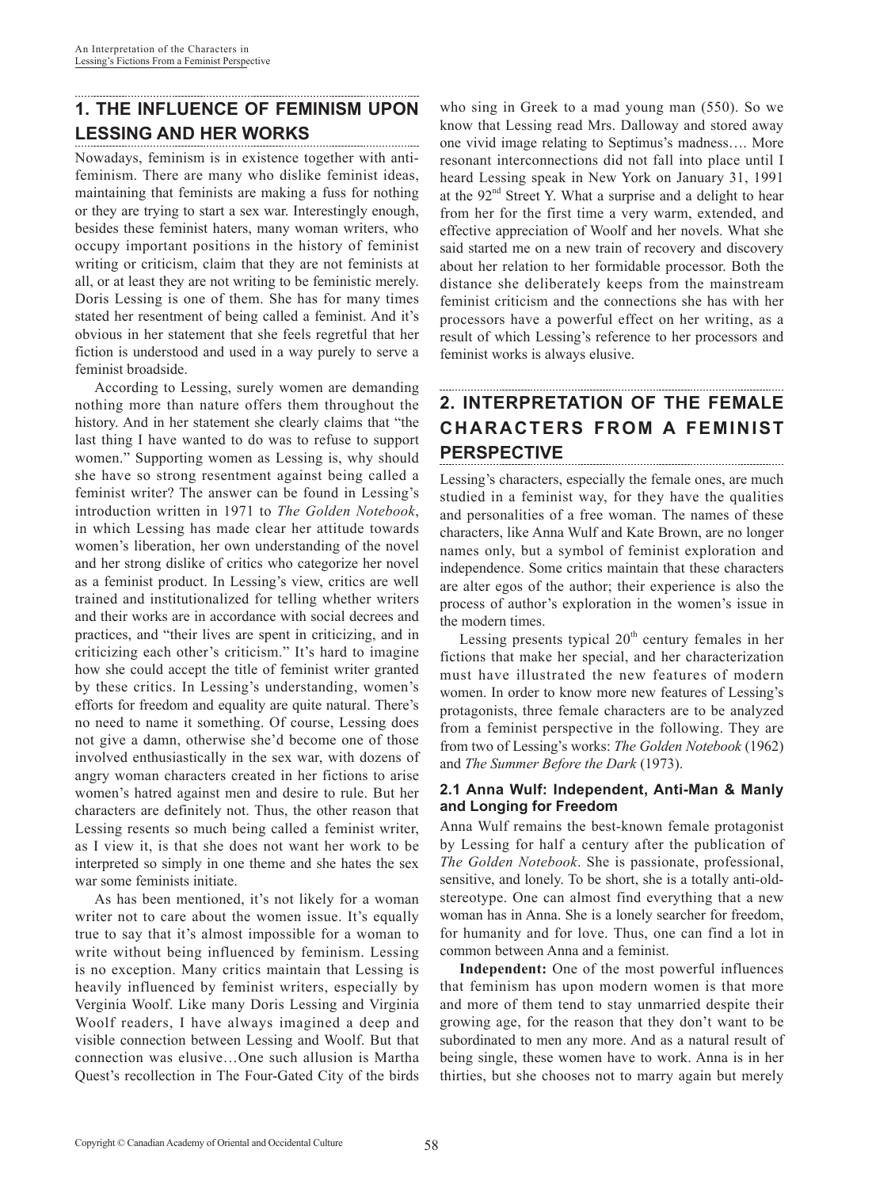## **1. THE INFLUENCE OF FEMINISM UPON LESSING AND HER WORKS**

Nowadays, feminism is in existence together with antifeminism. There are many who dislike feminist ideas, maintaining that feminists are making a fuss for nothing or they are trying to start a sex war. Interestingly enough, besides these feminist haters, many woman writers, who occupy important positions in the history of feminist writing or criticism, claim that they are not feminists at all, or at least they are not writing to be feministic merely. Doris Lessing is one of them. She has for many times stated her resentment of being called a feminist. And it's obvious in her statement that she feels regretful that her fiction is understood and used in a way purely to serve a feminist broadside.

According to Lessing, surely women are demanding nothing more than nature offers them throughout the history. And in her statement she clearly claims that "the last thing I have wanted to do was to refuse to support women." Supporting women as Lessing is, why should she have so strong resentment against being called a feminist writer? The answer can be found in Lessing's introduction written in 1971 to *The Golden Notebook*, in which Lessing has made clear her attitude towards women's liberation, her own understanding of the novel and her strong dislike of critics who categorize her novel as a feminist product. In Lessing's view, critics are well trained and institutionalized for telling whether writers and their works are in accordance with social decrees and practices, and "their lives are spent in criticizing, and in criticizing each other's criticism." It's hard to imagine how she could accept the title of feminist writer granted by these critics. In Lessing's understanding, women's efforts for freedom and equality are quite natural. There's no need to name it something. Of course, Lessing does not give a damn, otherwise she'd become one of those involved enthusiastically in the sex war, with dozens of angry woman characters created in her fictions to arise women's hatred against men and desire to rule. But her characters are definitely not. Thus, the other reason that Lessing resents so much being called a feminist writer, as I view it, is that she does not want her work to be interpreted so simply in one theme and she hates the sex war some feminists initiate.

As has been mentioned, it's not likely for a woman writer not to care about the women issue. It's equally true to say that it's almost impossible for a woman to write without being influenced by feminism. Lessing is no exception. Many critics maintain that Lessing is heavily influenced by feminist writers, especially by Verginia Woolf. Like many Doris Lessing and Virginia Woolf readers, I have always imagined a deep and visible connection between Lessing and Woolf. But that connection was elusive…One such allusion is Martha Quest's recollection in The Four-Gated City of the birds who sing in Greek to a mad young man (550). So we know that Lessing read Mrs. Dalloway and stored away one vivid image relating to Septimus's madness…. More resonant interconnections did not fall into place until I heard Lessing speak in New York on January 31, 1991 at the  $92<sup>nd</sup>$  Street Y. What a surprise and a delight to hear from her for the first time a very warm, extended, and effective appreciation of Woolf and her novels. What she said started me on a new train of recovery and discovery about her relation to her formidable processor. Both the distance she deliberately keeps from the mainstream feminist criticism and the connections she has with her processors have a powerful effect on her writing, as a result of which Lessing's reference to her processors and feminist works is always elusive.

# **2. INTERPRETATION OF THE FEMALE CHARACTERS FROM A FEMINIST PERSPECTIVE**

Lessing's characters, especially the female ones, are much studied in a feminist way, for they have the qualities and personalities of a free woman. The names of these characters, like Anna Wulf and Kate Brown, are no longer names only, but a symbol of feminist exploration and independence. Some critics maintain that these characters are alter egos of the author; their experience is also the process of author's exploration in the women's issue in the modern times.

Lessing presents typical  $20<sup>th</sup>$  century females in her fictions that make her special, and her characterization must have illustrated the new features of modern women. In order to know more new features of Lessing's protagonists, three female characters are to be analyzed from a feminist perspective in the following. They are from two of Lessing's works: *The Golden Notebook* (1962) and *The Summer Before the Dark* (1973).

#### **2.1 Anna Wulf: Independent, Anti-Man & Manly and Longing for Freedom**

Anna Wulf remains the best-known female protagonist by Lessing for half a century after the publication of *The Golden Notebook*. She is passionate, professional, sensitive, and lonely. To be short, she is a totally anti-oldstereotype. One can almost find everything that a new woman has in Anna. She is a lonely searcher for freedom, for humanity and for love. Thus, one can find a lot in common between Anna and a feminist.

**Independent:** One of the most powerful influences that feminism has upon modern women is that more and more of them tend to stay unmarried despite their growing age, for the reason that they don't want to be subordinated to men any more. And as a natural result of being single, these women have to work. Anna is in her thirties, but she chooses not to marry again but merely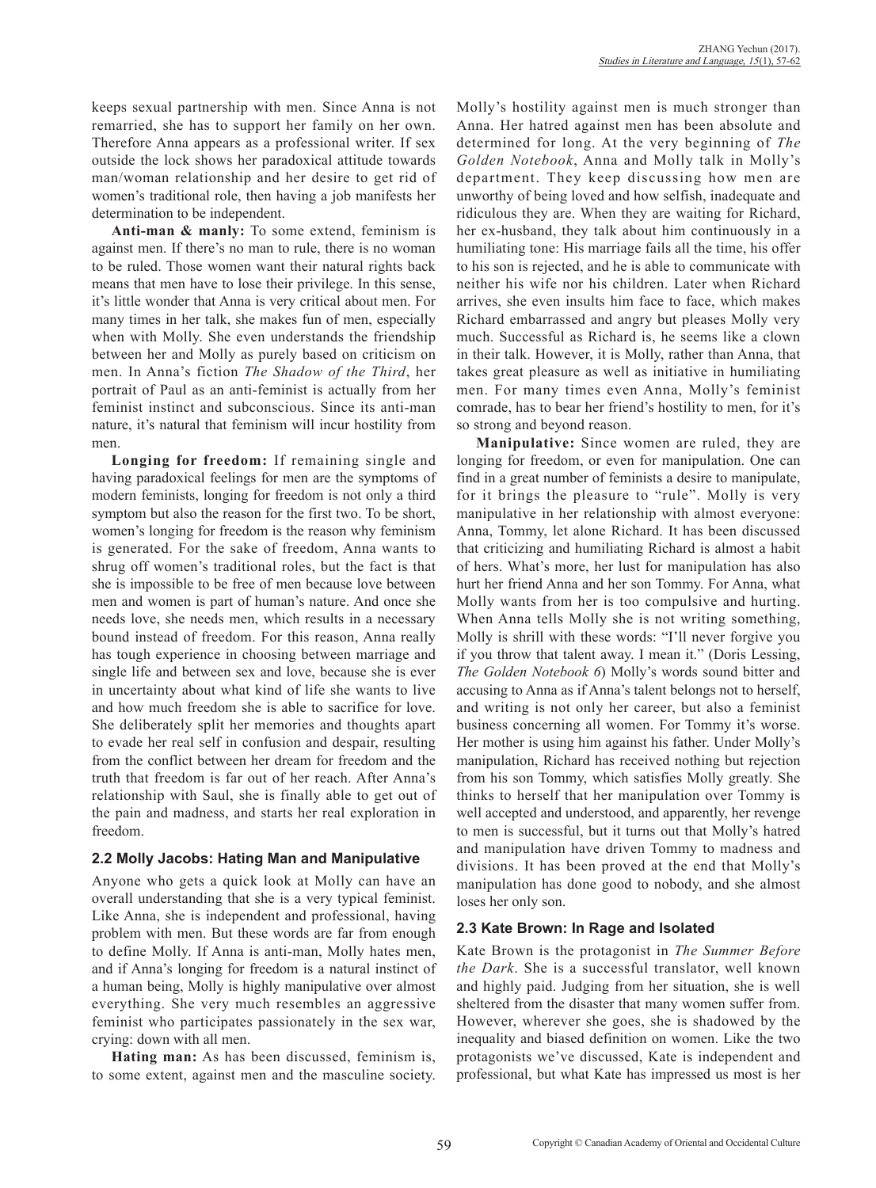keeps sexual partnership with men. Since Anna is not remarried, she has to support her family on her own. Therefore Anna appears as a professional writer. If sex outside the lock shows her paradoxical attitude towards man/woman relationship and her desire to get rid of women's traditional role, then having a job manifests her determination to be independent.

**Anti-man & manly:** To some extend, feminism is against men. If there's no man to rule, there is no woman to be ruled. Those women want their natural rights back means that men have to lose their privilege. In this sense, it's little wonder that Anna is very critical about men. For many times in her talk, she makes fun of men, especially when with Molly. She even understands the friendship between her and Molly as purely based on criticism on men. In Anna's fiction *The Shadow of the Third*, her portrait of Paul as an anti-feminist is actually from her feminist instinct and subconscious. Since its anti-man nature, it's natural that feminism will incur hostility from men.

**Longing for freedom:** If remaining single and having paradoxical feelings for men are the symptoms of modern feminists, longing for freedom is not only a third symptom but also the reason for the first two. To be short, women's longing for freedom is the reason why feminism is generated. For the sake of freedom, Anna wants to shrug off women's traditional roles, but the fact is that she is impossible to be free of men because love between men and women is part of human's nature. And once she needs love, she needs men, which results in a necessary bound instead of freedom. For this reason, Anna really has tough experience in choosing between marriage and single life and between sex and love, because she is ever in uncertainty about what kind of life she wants to live and how much freedom she is able to sacrifice for love. She deliberately split her memories and thoughts apart to evade her real self in confusion and despair, resulting from the conflict between her dream for freedom and the truth that freedom is far out of her reach. After Anna's relationship with Saul, she is finally able to get out of the pain and madness, and starts her real exploration in freedom.

#### **2.2 Molly Jacobs: Hating Man and Manipulative**

Anyone who gets a quick look at Molly can have an overall understanding that she is a very typical feminist. Like Anna, she is independent and professional, having problem with men. But these words are far from enough to define Molly. If Anna is anti-man, Molly hates men, and if Anna's longing for freedom is a natural instinct of a human being, Molly is highly manipulative over almost everything. She very much resembles an aggressive feminist who participates passionately in the sex war, crying: down with all men.

**Hating man:** As has been discussed, feminism is, to some extent, against men and the masculine society. Molly's hostility against men is much stronger than Anna. Her hatred against men has been absolute and determined for long. At the very beginning of *The Golden Notebook*, Anna and Molly talk in Molly's department. They keep discussing how men are unworthy of being loved and how selfish, inadequate and ridiculous they are. When they are waiting for Richard, her ex-husband, they talk about him continuously in a humiliating tone: His marriage fails all the time, his offer to his son is rejected, and he is able to communicate with neither his wife nor his children. Later when Richard arrives, she even insults him face to face, which makes Richard embarrassed and angry but pleases Molly very much. Successful as Richard is, he seems like a clown in their talk. However, it is Molly, rather than Anna, that takes great pleasure as well as initiative in humiliating men. For many times even Anna, Molly's feminist comrade, has to bear her friend's hostility to men, for it's so strong and beyond reason.

**Manipulative:** Since women are ruled, they are longing for freedom, or even for manipulation. One can find in a great number of feminists a desire to manipulate, for it brings the pleasure to "rule". Molly is very manipulative in her relationship with almost everyone: Anna, Tommy, let alone Richard. It has been discussed that criticizing and humiliating Richard is almost a habit of hers. What's more, her lust for manipulation has also hurt her friend Anna and her son Tommy. For Anna, what Molly wants from her is too compulsive and hurting. When Anna tells Molly she is not writing something, Molly is shrill with these words: "I'll never forgive you if you throw that talent away. I mean it." (Doris Lessing, *The Golden Notebook 6*) Molly's words sound bitter and accusing to Anna as if Anna's talent belongs not to herself, and writing is not only her career, but also a feminist business concerning all women. For Tommy it's worse. Her mother is using him against his father. Under Molly's manipulation, Richard has received nothing but rejection from his son Tommy, which satisfies Molly greatly. She thinks to herself that her manipulation over Tommy is well accepted and understood, and apparently, her revenge to men is successful, but it turns out that Molly's hatred and manipulation have driven Tommy to madness and divisions. It has been proved at the end that Molly's manipulation has done good to nobody, and she almost loses her only son.

#### **2.3 Kate Brown: In Rage and Isolated**

Kate Brown is the protagonist in *The Summer Before the Dark*. She is a successful translator, well known and highly paid. Judging from her situation, she is well sheltered from the disaster that many women suffer from. However, wherever she goes, she is shadowed by the inequality and biased definition on women. Like the two protagonists we've discussed, Kate is independent and professional, but what Kate has impressed us most is her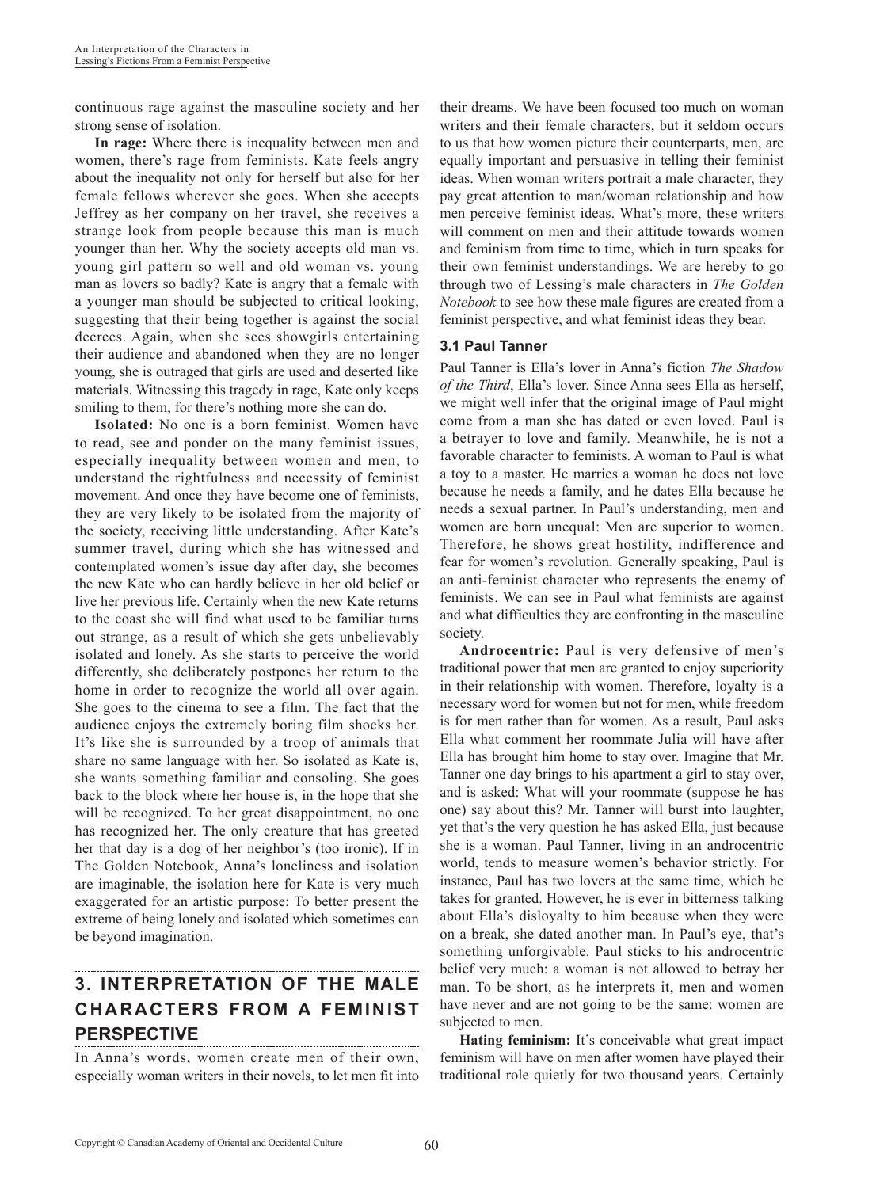continuous rage against the masculine society and her strong sense of isolation.

**In rage:** Where there is inequality between men and women, there's rage from feminists. Kate feels angry about the inequality not only for herself but also for her female fellows wherever she goes. When she accepts Jeffrey as her company on her travel, she receives a strange look from people because this man is much younger than her. Why the society accepts old man vs. young girl pattern so well and old woman vs. young man as lovers so badly? Kate is angry that a female with a younger man should be subjected to critical looking, suggesting that their being together is against the social decrees. Again, when she sees showgirls entertaining their audience and abandoned when they are no longer young, she is outraged that girls are used and deserted like materials. Witnessing this tragedy in rage, Kate only keeps smiling to them, for there's nothing more she can do.

**Isolated:** No one is a born feminist. Women have to read, see and ponder on the many feminist issues, especially inequality between women and men, to understand the rightfulness and necessity of feminist movement. And once they have become one of feminists, they are very likely to be isolated from the majority of the society, receiving little understanding. After Kate's summer travel, during which she has witnessed and contemplated women's issue day after day, she becomes the new Kate who can hardly believe in her old belief or live her previous life. Certainly when the new Kate returns to the coast she will find what used to be familiar turns out strange, as a result of which she gets unbelievably isolated and lonely. As she starts to perceive the world differently, she deliberately postpones her return to the home in order to recognize the world all over again. She goes to the cinema to see a film. The fact that the audience enjoys the extremely boring film shocks her. It's like she is surrounded by a troop of animals that share no same language with her. So isolated as Kate is, she wants something familiar and consoling. She goes back to the block where her house is, in the hope that she will be recognized. To her great disappointment, no one has recognized her. The only creature that has greeted her that day is a dog of her neighbor's (too ironic). If in The Golden Notebook, Anna's loneliness and isolation are imaginable, the isolation here for Kate is very much exaggerated for an artistic purpose: To better present the extreme of being lonely and isolated which sometimes can be beyond imagination.

## **3. INTERPRETATION OF THE MALE CHARACTERS FROM A FEMINIST PERSPECTIVE**

In Anna's words, women create men of their own, especially woman writers in their novels, to let men fit into

their dreams. We have been focused too much on woman writers and their female characters, but it seldom occurs to us that how women picture their counterparts, men, are equally important and persuasive in telling their feminist ideas. When woman writers portrait a male character, they pay great attention to man/woman relationship and how men perceive feminist ideas. What's more, these writers will comment on men and their attitude towards women and feminism from time to time, which in turn speaks for their own feminist understandings. We are hereby to go through two of Lessing's male characters in *The Golden Notebook* to see how these male figures are created from a feminist perspective, and what feminist ideas they bear.

#### **3.1 Paul Tanner**

Paul Tanner is Ella's lover in Anna's fiction *The Shadow of the Third*, Ella's lover. Since Anna sees Ella as herself, we might well infer that the original image of Paul might come from a man she has dated or even loved. Paul is a betrayer to love and family. Meanwhile, he is not a favorable character to feminists. A woman to Paul is what a toy to a master. He marries a woman he does not love because he needs a family, and he dates Ella because he needs a sexual partner. In Paul's understanding, men and women are born unequal: Men are superior to women. Therefore, he shows great hostility, indifference and fear for women's revolution. Generally speaking, Paul is an anti-feminist character who represents the enemy of feminists. We can see in Paul what feminists are against and what difficulties they are confronting in the masculine society.

**Androcentric:** Paul is very defensive of men's traditional power that men are granted to enjoy superiority in their relationship with women. Therefore, loyalty is a necessary word for women but not for men, while freedom is for men rather than for women. As a result, Paul asks Ella what comment her roommate Julia will have after Ella has brought him home to stay over. Imagine that Mr. Tanner one day brings to his apartment a girl to stay over, and is asked: What will your roommate (suppose he has one) say about this? Mr. Tanner will burst into laughter, yet that's the very question he has asked Ella, just because she is a woman. Paul Tanner, living in an androcentric world, tends to measure women's behavior strictly. For instance, Paul has two lovers at the same time, which he takes for granted. However, he is ever in bitterness talking about Ella's disloyalty to him because when they were on a break, she dated another man. In Paul's eye, that's something unforgivable. Paul sticks to his androcentric belief very much: a woman is not allowed to betray her man. To be short, as he interprets it, men and women have never and are not going to be the same: women are subjected to men.

**Hating feminism:** It's conceivable what great impact feminism will have on men after women have played their traditional role quietly for two thousand years. Certainly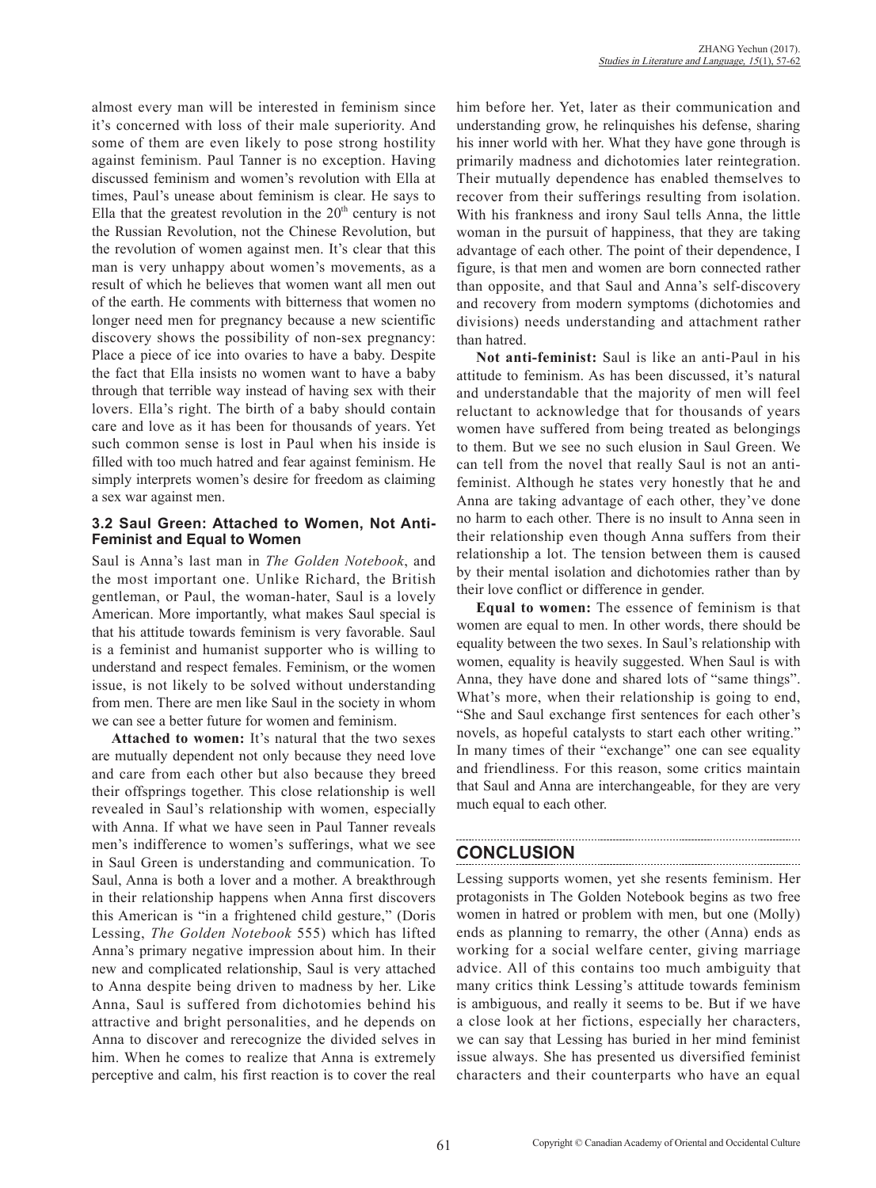almost every man will be interested in feminism since it's concerned with loss of their male superiority. And some of them are even likely to pose strong hostility against feminism. Paul Tanner is no exception. Having discussed feminism and women's revolution with Ella at times, Paul's unease about feminism is clear. He says to Ella that the greatest revolution in the  $20<sup>th</sup>$  century is not the Russian Revolution, not the Chinese Revolution, but the revolution of women against men. It's clear that this man is very unhappy about women's movements, as a result of which he believes that women want all men out of the earth. He comments with bitterness that women no longer need men for pregnancy because a new scientific discovery shows the possibility of non-sex pregnancy: Place a piece of ice into ovaries to have a baby. Despite the fact that Ella insists no women want to have a baby through that terrible way instead of having sex with their lovers. Ella's right. The birth of a baby should contain care and love as it has been for thousands of years. Yet such common sense is lost in Paul when his inside is filled with too much hatred and fear against feminism. He simply interprets women's desire for freedom as claiming a sex war against men.

#### **3.2 Saul Green: Attached to Women, Not Anti-Feminist and Equal to Women**

Saul is Anna's last man in *The Golden Notebook*, and the most important one. Unlike Richard, the British gentleman, or Paul, the woman-hater, Saul is a lovely American. More importantly, what makes Saul special is that his attitude towards feminism is very favorable. Saul is a feminist and humanist supporter who is willing to understand and respect females. Feminism, or the women issue, is not likely to be solved without understanding from men. There are men like Saul in the society in whom we can see a better future for women and feminism.

**Attached to women:** It's natural that the two sexes are mutually dependent not only because they need love and care from each other but also because they breed their offsprings together. This close relationship is well revealed in Saul's relationship with women, especially with Anna. If what we have seen in Paul Tanner reveals men's indifference to women's sufferings, what we see in Saul Green is understanding and communication. To Saul, Anna is both a lover and a mother. A breakthrough in their relationship happens when Anna first discovers this American is "in a frightened child gesture," (Doris Lessing, *The Golden Notebook* 555) which has lifted Anna's primary negative impression about him. In their new and complicated relationship, Saul is very attached to Anna despite being driven to madness by her. Like Anna, Saul is suffered from dichotomies behind his attractive and bright personalities, and he depends on Anna to discover and rerecognize the divided selves in him. When he comes to realize that Anna is extremely perceptive and calm, his first reaction is to cover the real him before her. Yet, later as their communication and understanding grow, he relinquishes his defense, sharing his inner world with her. What they have gone through is primarily madness and dichotomies later reintegration. Their mutually dependence has enabled themselves to recover from their sufferings resulting from isolation. With his frankness and irony Saul tells Anna, the little woman in the pursuit of happiness, that they are taking advantage of each other. The point of their dependence, I figure, is that men and women are born connected rather than opposite, and that Saul and Anna's self-discovery and recovery from modern symptoms (dichotomies and divisions) needs understanding and attachment rather than hatred.

**Not anti-feminist:** Saul is like an anti-Paul in his attitude to feminism. As has been discussed, it's natural and understandable that the majority of men will feel reluctant to acknowledge that for thousands of years women have suffered from being treated as belongings to them. But we see no such elusion in Saul Green. We can tell from the novel that really Saul is not an antifeminist. Although he states very honestly that he and Anna are taking advantage of each other, they've done no harm to each other. There is no insult to Anna seen in their relationship even though Anna suffers from their relationship a lot. The tension between them is caused by their mental isolation and dichotomies rather than by their love conflict or difference in gender.

**Equal to women:** The essence of feminism is that women are equal to men. In other words, there should be equality between the two sexes. In Saul's relationship with women, equality is heavily suggested. When Saul is with Anna, they have done and shared lots of "same things". What's more, when their relationship is going to end, "She and Saul exchange first sentences for each other's novels, as hopeful catalysts to start each other writing." In many times of their "exchange" one can see equality and friendliness. For this reason, some critics maintain that Saul and Anna are interchangeable, for they are very much equal to each other.

## **CONCLUSION**

Lessing supports women, yet she resents feminism. Her protagonists in The Golden Notebook begins as two free women in hatred or problem with men, but one (Molly) ends as planning to remarry, the other (Anna) ends as working for a social welfare center, giving marriage advice. All of this contains too much ambiguity that many critics think Lessing's attitude towards feminism is ambiguous, and really it seems to be. But if we have a close look at her fictions, especially her characters, we can say that Lessing has buried in her mind feminist issue always. She has presented us diversified feminist characters and their counterparts who have an equal